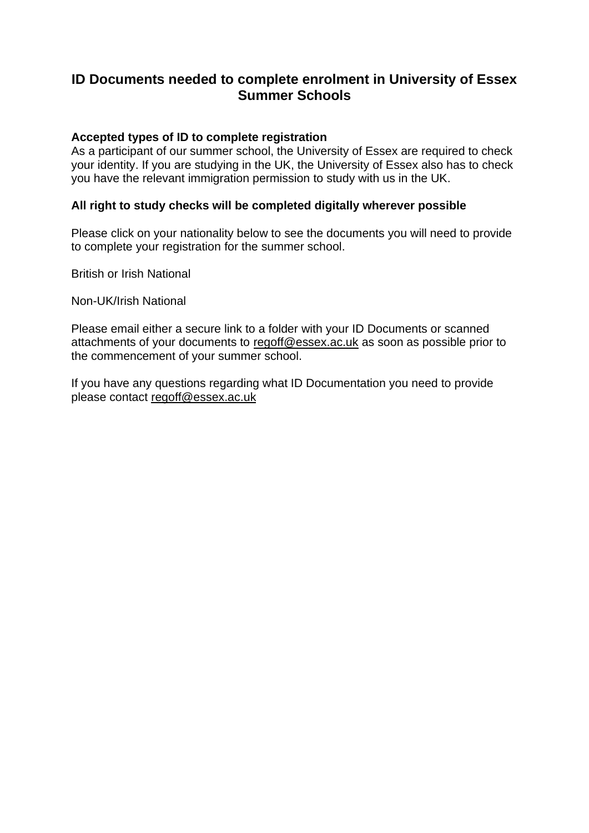# **ID Documents needed to complete enrolment in University of Essex Summer Schools**

#### **Accepted types of ID to complete registration**

As a participant of our summer school, the University of Essex are required to check your identity. If you are studying in the UK, the University of Essex also has to check you have the relevant immigration permission to study with us in the UK.

#### **All right to study checks will be completed digitally wherever possible**

Please click on your nationality below to see the documents you will need to provide to complete your registration for the summer school.

British or Irish National

Non-UK/Irish National

Please email either a secure link to a folder with your ID Documents or scanned attachments of your documents to [regoff@essex.ac.uk](mailto:regoff@essex.ac.uk) as soon as possible prior to the commencement of your summer school.

If you have any questions regarding what ID Documentation you need to provide please contact [regoff@essex.ac.uk](mailto:regoff@essex.ac.uk)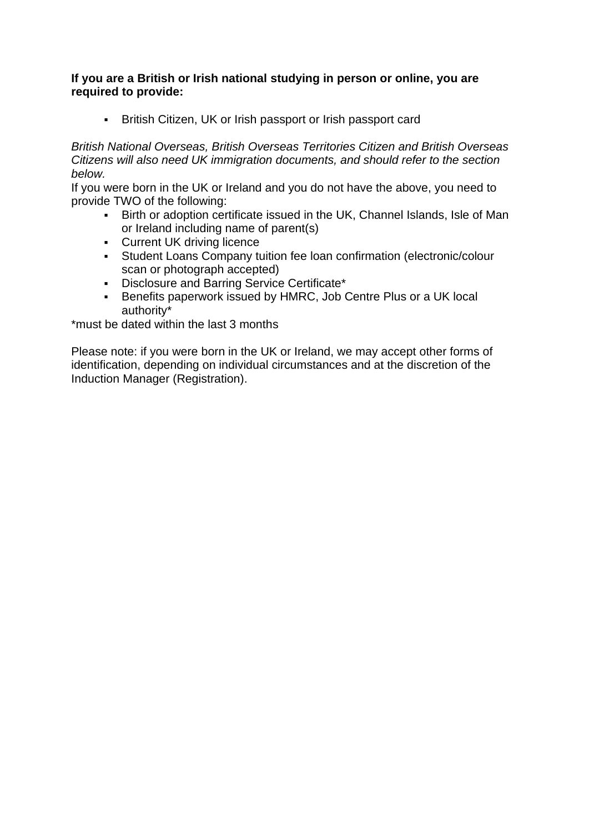### **If you are a British or Irish national studying in person or online, you are required to provide:**

**EXECT:** British Citizen, UK or Irish passport or Irish passport card

*British National Overseas, British Overseas Territories Citizen and British Overseas Citizens will also need UK immigration documents, and should refer to the section below.*

If you were born in the UK or Ireland and you do not have the above, you need to provide TWO of the following:

- **EXECT AT A FIRTH ISLES IN STARK ISLE OF MAN FIRTH CONCOCO FIRTH** Direction crition or adoption certificate issued in the UK, Channel Islands, Isle of Man or Ireland including name of parent(s)
- **Current UK driving licence**
- Student Loans Company tuition fee loan confirmation (electronic/colour scan or photograph accepted)
- Disclosure and Barring Service Certificate\*
- **EXECT:** Benefits paperwork issued by HMRC, Job Centre Plus or a UK local authority\*

\*must be dated within the last 3 months

Please note: if you were born in the UK or Ireland, we may accept other forms of identification, depending on individual circumstances and at the discretion of the Induction Manager (Registration).